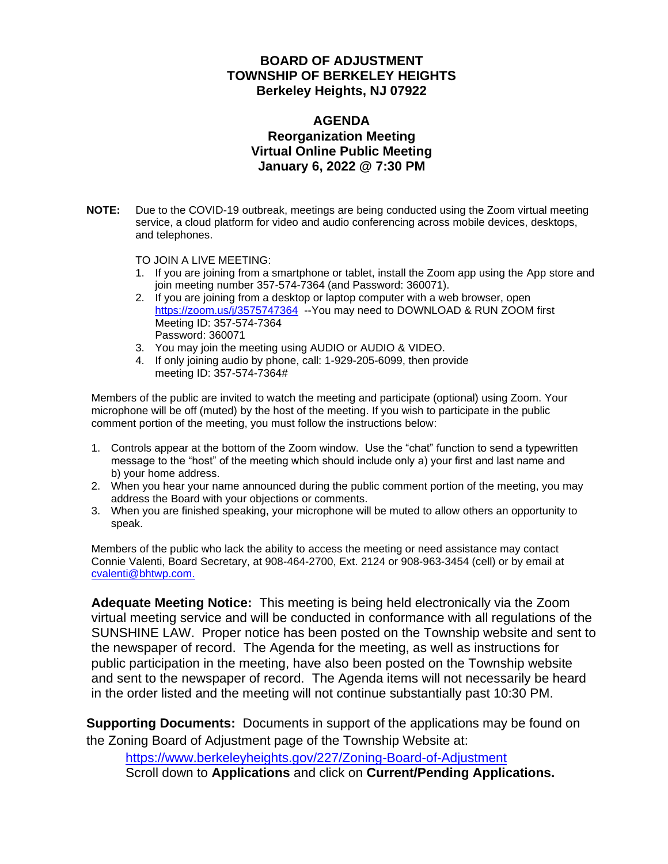## **BOARD OF ADJUSTMENT TOWNSHIP OF BERKELEY HEIGHTS Berkeley Heights, NJ 07922**

## **AGENDA Reorganization Meeting Virtual Online Public Meeting January 6, 2022 @ 7:30 PM**

**NOTE:** Due to the COVID-19 outbreak, meetings are being conducted using the Zoom virtual meeting service, a cloud platform for video and audio conferencing across mobile devices, desktops, and telephones.

TO JOIN A LIVE MEETING:

- 1. If you are joining from a smartphone or tablet, install the Zoom app using the App store and join meeting number 357-574-7364 (and Password: 360071).
- 2. If you are joining from a desktop or laptop computer with a web browser, open <https://zoom.us/j/3575747364>--You may need to DOWNLOAD & RUN ZOOM first Meeting ID: 357-574-7364 Password: 360071
- 3. You may join the meeting using AUDIO or AUDIO & VIDEO.
- 4. If only joining audio by phone, call: 1-929-205-6099, then provide meeting ID: 357-574-7364#

Members of the public are invited to watch the meeting and participate (optional) using Zoom. Your microphone will be off (muted) by the host of the meeting. If you wish to participate in the public comment portion of the meeting, you must follow the instructions below:

- 1. Controls appear at the bottom of the Zoom window. Use the "chat" function to send a typewritten message to the "host" of the meeting which should include only a) your first and last name and b) your home address.
- 2. When you hear your name announced during the public comment portion of the meeting, you may address the Board with your objections or comments.
- 3. When you are finished speaking, your microphone will be muted to allow others an opportunity to speak.

Members of the public who lack the ability to access the meeting or need assistance may contact Connie Valenti, Board Secretary, at 908-464-2700, Ext. 2124 or 908-963-3454 (cell) or by email at [cvalenti@bhtwp.com.](mailto:cvalenti@bhtwp.com)

**Adequate Meeting Notice:** This meeting is being held electronically via the Zoom virtual meeting service and will be conducted in conformance with all regulations of the SUNSHINE LAW. Proper notice has been posted on the Township website and sent to the newspaper of record. The Agenda for the meeting, as well as instructions for public participation in the meeting, have also been posted on the Township website and sent to the newspaper of record. The Agenda items will not necessarily be heard in the order listed and the meeting will not continue substantially past 10:30 PM.

**Supporting Documents:** Documents in support of the applications may be found on the Zoning Board of Adjustment page of the Township Website at:

<https://www.berkeleyheights.gov/227/Zoning-Board-of-Adjustment> Scroll down to **Applications** and click on **Current/Pending Applications.**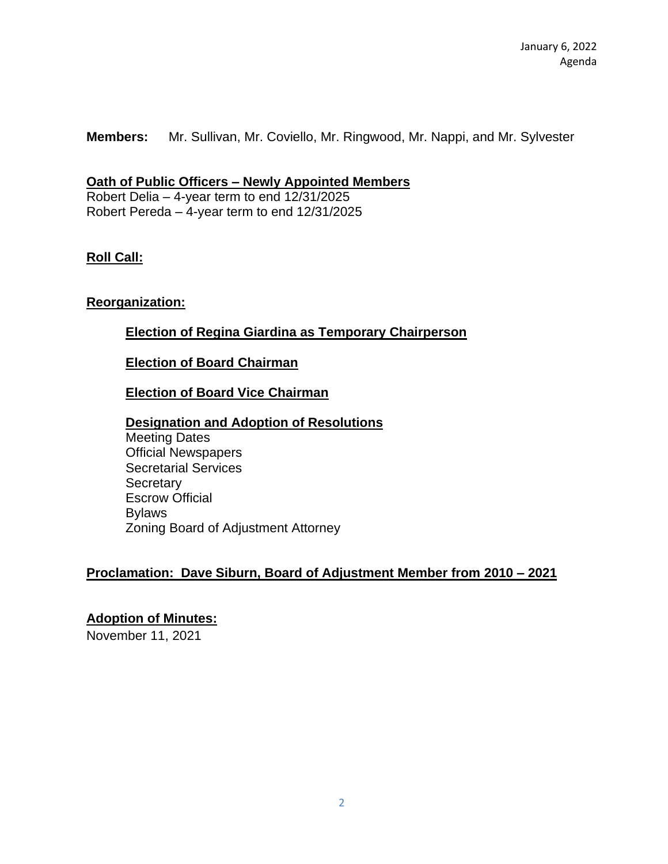**Members:** Mr. Sullivan, Mr. Coviello, Mr. Ringwood, Mr. Nappi, and Mr. Sylvester

### **Oath of Public Officers – Newly Appointed Members**

Robert Delia – 4-year term to end 12/31/2025 Robert Pereda – 4-year term to end 12/31/2025

## **Roll Call:**

## **Reorganization:**

## **Election of Regina Giardina as Temporary Chairperson**

#### **Election of Board Chairman**

### **Election of Board Vice Chairman**

#### **Designation and Adoption of Resolutions**

Meeting Dates Official Newspapers Secretarial Services **Secretary** Escrow Official Bylaws Zoning Board of Adjustment Attorney

#### **Proclamation: Dave Siburn, Board of Adjustment Member from 2010 – 2021**

### **Adoption of Minutes:**

November 11, 2021